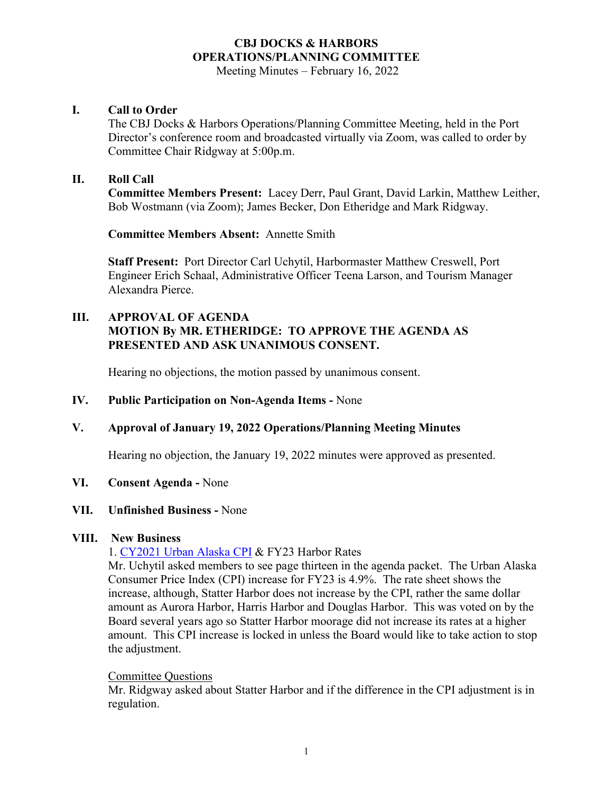Meeting Minutes – February 16, 2022

### **I. Call to Order**

The CBJ Docks & Harbors Operations/Planning Committee Meeting, held in the Port Director's conference room and broadcasted virtually via Zoom, was called to order by Committee Chair Ridgway at 5:00p.m.

### **II. Roll Call**

**Committee Members Present:** Lacey Derr, Paul Grant, David Larkin, Matthew Leither, Bob Wostmann (via Zoom); James Becker, Don Etheridge and Mark Ridgway.

**Committee Members Absent:** Annette Smith

**Staff Present:** Port Director Carl Uchytil, Harbormaster Matthew Creswell, Port Engineer Erich Schaal, Administrative Officer Teena Larson, and Tourism Manager Alexandra Pierce.

## **III. APPROVAL OF AGENDA MOTION By MR. ETHERIDGE: TO APPROVE THE AGENDA AS PRESENTED AND ASK UNANIMOUS CONSENT.**

Hearing no objections, the motion passed by unanimous consent.

#### **IV. Public Participation on Non-Agenda Items -** None

## **V. Approval of January 19, 2022 Operations/Planning Meeting Minutes**

Hearing no objection, the January 19, 2022 minutes were approved as presented.

#### **VI. Consent Agenda -** None

#### **VII. Unfinished Business -** None

#### **VIII. New Business**

1. [CY2021 Urban Alaska CPI](https://live.laborstats.alaska.gov/cpi/index.html) & FY23 Harbor Rates

Mr. Uchytil asked members to see page thirteen in the agenda packet. The Urban Alaska Consumer Price Index (CPI) increase for FY23 is 4.9%. The rate sheet shows the increase, although, Statter Harbor does not increase by the CPI, rather the same dollar amount as Aurora Harbor, Harris Harbor and Douglas Harbor. This was voted on by the Board several years ago so Statter Harbor moorage did not increase its rates at a higher amount. This CPI increase is locked in unless the Board would like to take action to stop the adjustment.

#### Committee Questions

Mr. Ridgway asked about Statter Harbor and if the difference in the CPI adjustment is in regulation.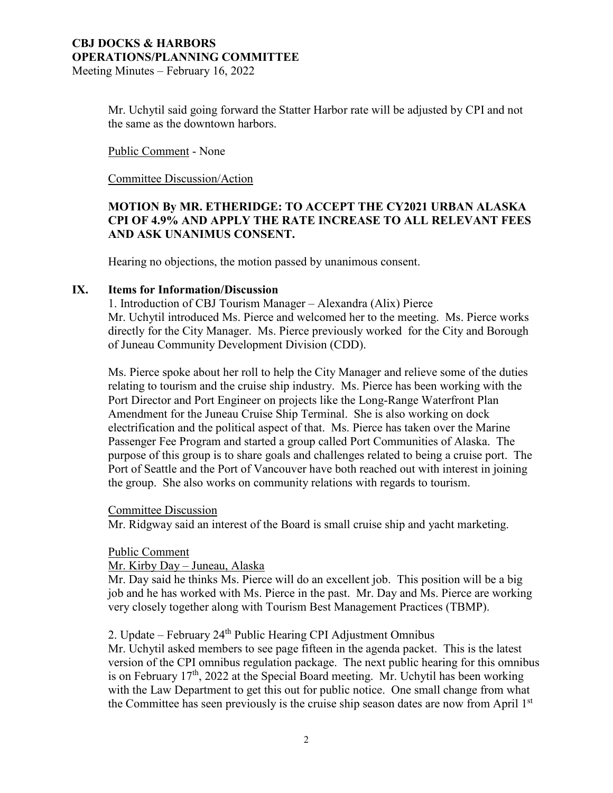Meeting Minutes – February 16, 2022

Mr. Uchytil said going forward the Statter Harbor rate will be adjusted by CPI and not the same as the downtown harbors.

Public Comment - None

Committee Discussion/Action

## **MOTION By MR. ETHERIDGE: TO ACCEPT THE CY2021 URBAN ALASKA CPI OF 4.9% AND APPLY THE RATE INCREASE TO ALL RELEVANT FEES AND ASK UNANIMUS CONSENT.**

Hearing no objections, the motion passed by unanimous consent.

#### **IX. Items for Information/Discussion**

1. Introduction of CBJ Tourism Manager – Alexandra (Alix) Pierce Mr. Uchytil introduced Ms. Pierce and welcomed her to the meeting. Ms. Pierce works directly for the City Manager. Ms. Pierce previously worked for the City and Borough of Juneau Community Development Division (CDD).

Ms. Pierce spoke about her roll to help the City Manager and relieve some of the duties relating to tourism and the cruise ship industry. Ms. Pierce has been working with the Port Director and Port Engineer on projects like the Long-Range Waterfront Plan Amendment for the Juneau Cruise Ship Terminal. She is also working on dock electrification and the political aspect of that. Ms. Pierce has taken over the Marine Passenger Fee Program and started a group called Port Communities of Alaska. The purpose of this group is to share goals and challenges related to being a cruise port. The Port of Seattle and the Port of Vancouver have both reached out with interest in joining the group. She also works on community relations with regards to tourism.

#### Committee Discussion

Mr. Ridgway said an interest of the Board is small cruise ship and yacht marketing.

#### Public Comment

#### Mr. Kirby Day – Juneau, Alaska

Mr. Day said he thinks Ms. Pierce will do an excellent job. This position will be a big job and he has worked with Ms. Pierce in the past. Mr. Day and Ms. Pierce are working very closely together along with Tourism Best Management Practices (TBMP).

## 2. Update – February 24<sup>th</sup> Public Hearing CPI Adjustment Omnibus

Mr. Uchytil asked members to see page fifteen in the agenda packet. This is the latest version of the CPI omnibus regulation package. The next public hearing for this omnibus is on February  $17<sup>th</sup>$ , 2022 at the Special Board meeting. Mr. Uchytil has been working with the Law Department to get this out for public notice. One small change from what the Committee has seen previously is the cruise ship season dates are now from April 1<sup>st</sup>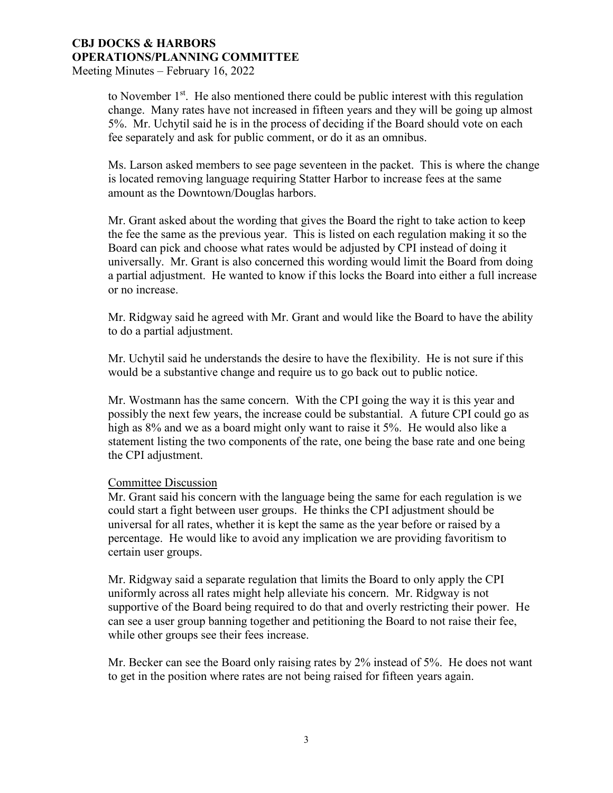Meeting Minutes – February 16, 2022

to November  $1<sup>st</sup>$ . He also mentioned there could be public interest with this regulation change. Many rates have not increased in fifteen years and they will be going up almost 5%. Mr. Uchytil said he is in the process of deciding if the Board should vote on each fee separately and ask for public comment, or do it as an omnibus.

Ms. Larson asked members to see page seventeen in the packet. This is where the change is located removing language requiring Statter Harbor to increase fees at the same amount as the Downtown/Douglas harbors.

Mr. Grant asked about the wording that gives the Board the right to take action to keep the fee the same as the previous year. This is listed on each regulation making it so the Board can pick and choose what rates would be adjusted by CPI instead of doing it universally. Mr. Grant is also concerned this wording would limit the Board from doing a partial adjustment. He wanted to know if this locks the Board into either a full increase or no increase.

Mr. Ridgway said he agreed with Mr. Grant and would like the Board to have the ability to do a partial adjustment.

Mr. Uchytil said he understands the desire to have the flexibility. He is not sure if this would be a substantive change and require us to go back out to public notice.

Mr. Wostmann has the same concern. With the CPI going the way it is this year and possibly the next few years, the increase could be substantial. A future CPI could go as high as 8% and we as a board might only want to raise it 5%. He would also like a statement listing the two components of the rate, one being the base rate and one being the CPI adjustment.

#### Committee Discussion

Mr. Grant said his concern with the language being the same for each regulation is we could start a fight between user groups. He thinks the CPI adjustment should be universal for all rates, whether it is kept the same as the year before or raised by a percentage. He would like to avoid any implication we are providing favoritism to certain user groups.

Mr. Ridgway said a separate regulation that limits the Board to only apply the CPI uniformly across all rates might help alleviate his concern. Mr. Ridgway is not supportive of the Board being required to do that and overly restricting their power. He can see a user group banning together and petitioning the Board to not raise their fee, while other groups see their fees increase.

Mr. Becker can see the Board only raising rates by 2% instead of 5%. He does not want to get in the position where rates are not being raised for fifteen years again.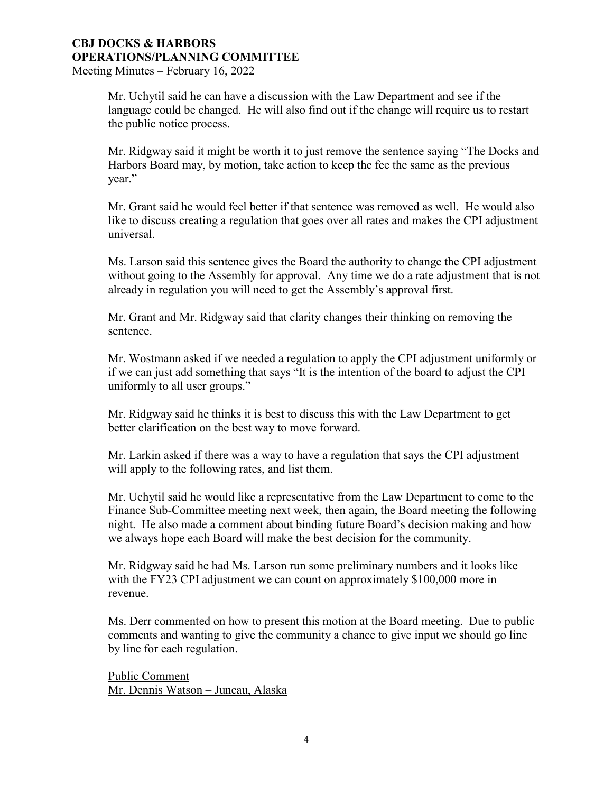#### **CBJ DOCKS & HARBORS OPERATIONS/PLANNING COMMITTEE**  Meeting Minutes – February 16, 2022

Mr. Uchytil said he can have a discussion with the Law Department and see if the language could be changed. He will also find out if the change will require us to restart the public notice process.

Mr. Ridgway said it might be worth it to just remove the sentence saying "The Docks and Harbors Board may, by motion, take action to keep the fee the same as the previous year."

Mr. Grant said he would feel better if that sentence was removed as well. He would also like to discuss creating a regulation that goes over all rates and makes the CPI adjustment universal.

Ms. Larson said this sentence gives the Board the authority to change the CPI adjustment without going to the Assembly for approval. Any time we do a rate adjustment that is not already in regulation you will need to get the Assembly's approval first.

Mr. Grant and Mr. Ridgway said that clarity changes their thinking on removing the sentence.

Mr. Wostmann asked if we needed a regulation to apply the CPI adjustment uniformly or if we can just add something that says "It is the intention of the board to adjust the CPI uniformly to all user groups."

Mr. Ridgway said he thinks it is best to discuss this with the Law Department to get better clarification on the best way to move forward.

Mr. Larkin asked if there was a way to have a regulation that says the CPI adjustment will apply to the following rates, and list them.

Mr. Uchytil said he would like a representative from the Law Department to come to the Finance Sub-Committee meeting next week, then again, the Board meeting the following night. He also made a comment about binding future Board's decision making and how we always hope each Board will make the best decision for the community.

Mr. Ridgway said he had Ms. Larson run some preliminary numbers and it looks like with the FY23 CPI adjustment we can count on approximately \$100,000 more in revenue.

Ms. Derr commented on how to present this motion at the Board meeting. Due to public comments and wanting to give the community a chance to give input we should go line by line for each regulation.

Public Comment Mr. Dennis Watson – Juneau, Alaska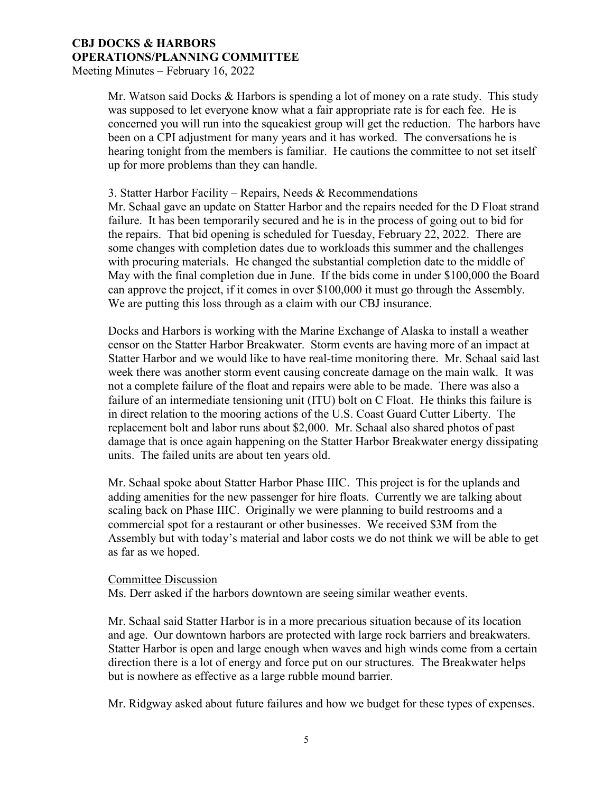Meeting Minutes – February 16, 2022

Mr. Watson said Docks & Harbors is spending a lot of money on a rate study. This study was supposed to let everyone know what a fair appropriate rate is for each fee. He is concerned you will run into the squeakiest group will get the reduction. The harbors have been on a CPI adjustment for many years and it has worked. The conversations he is hearing tonight from the members is familiar. He cautions the committee to not set itself up for more problems than they can handle.

#### 3. Statter Harbor Facility – Repairs, Needs & Recommendations

Mr. Schaal gave an update on Statter Harbor and the repairs needed for the D Float strand failure. It has been temporarily secured and he is in the process of going out to bid for the repairs. That bid opening is scheduled for Tuesday, February 22, 2022. There are some changes with completion dates due to workloads this summer and the challenges with procuring materials. He changed the substantial completion date to the middle of May with the final completion due in June. If the bids come in under \$100,000 the Board can approve the project, if it comes in over \$100,000 it must go through the Assembly. We are putting this loss through as a claim with our CBJ insurance.

Docks and Harbors is working with the Marine Exchange of Alaska to install a weather censor on the Statter Harbor Breakwater. Storm events are having more of an impact at Statter Harbor and we would like to have real-time monitoring there. Mr. Schaal said last week there was another storm event causing concreate damage on the main walk. It was not a complete failure of the float and repairs were able to be made. There was also a failure of an intermediate tensioning unit (ITU) bolt on C Float. He thinks this failure is in direct relation to the mooring actions of the U.S. Coast Guard Cutter Liberty. The replacement bolt and labor runs about \$2,000. Mr. Schaal also shared photos of past damage that is once again happening on the Statter Harbor Breakwater energy dissipating units. The failed units are about ten years old.

Mr. Schaal spoke about Statter Harbor Phase IIIC. This project is for the uplands and adding amenities for the new passenger for hire floats. Currently we are talking about scaling back on Phase IIIC. Originally we were planning to build restrooms and a commercial spot for a restaurant or other businesses. We received \$3M from the Assembly but with today's material and labor costs we do not think we will be able to get as far as we hoped.

#### Committee Discussion

Ms. Derr asked if the harbors downtown are seeing similar weather events.

Mr. Schaal said Statter Harbor is in a more precarious situation because of its location and age. Our downtown harbors are protected with large rock barriers and breakwaters. Statter Harbor is open and large enough when waves and high winds come from a certain direction there is a lot of energy and force put on our structures. The Breakwater helps but is nowhere as effective as a large rubble mound barrier.

Mr. Ridgway asked about future failures and how we budget for these types of expenses.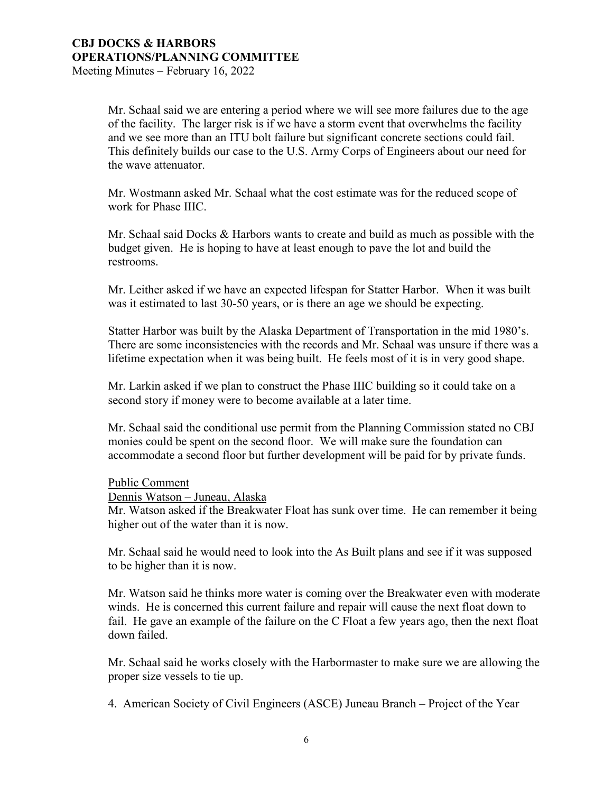#### **CBJ DOCKS & HARBORS OPERATIONS/PLANNING COMMITTEE**  Meeting Minutes – February 16, 2022

Mr. Schaal said we are entering a period where we will see more failures due to the age of the facility. The larger risk is if we have a storm event that overwhelms the facility and we see more than an ITU bolt failure but significant concrete sections could fail. This definitely builds our case to the U.S. Army Corps of Engineers about our need for the wave attenuator.

Mr. Wostmann asked Mr. Schaal what the cost estimate was for the reduced scope of work for Phase IIIC.

Mr. Schaal said Docks & Harbors wants to create and build as much as possible with the budget given. He is hoping to have at least enough to pave the lot and build the restrooms.

Mr. Leither asked if we have an expected lifespan for Statter Harbor. When it was built was it estimated to last 30-50 years, or is there an age we should be expecting.

Statter Harbor was built by the Alaska Department of Transportation in the mid 1980's. There are some inconsistencies with the records and Mr. Schaal was unsure if there was a lifetime expectation when it was being built. He feels most of it is in very good shape.

Mr. Larkin asked if we plan to construct the Phase IIIC building so it could take on a second story if money were to become available at a later time.

Mr. Schaal said the conditional use permit from the Planning Commission stated no CBJ monies could be spent on the second floor. We will make sure the foundation can accommodate a second floor but further development will be paid for by private funds.

Public Comment

Dennis Watson – Juneau, Alaska

Mr. Watson asked if the Breakwater Float has sunk over time. He can remember it being higher out of the water than it is now.

Mr. Schaal said he would need to look into the As Built plans and see if it was supposed to be higher than it is now.

Mr. Watson said he thinks more water is coming over the Breakwater even with moderate winds. He is concerned this current failure and repair will cause the next float down to fail. He gave an example of the failure on the C Float a few years ago, then the next float down failed.

Mr. Schaal said he works closely with the Harbormaster to make sure we are allowing the proper size vessels to tie up.

4. American Society of Civil Engineers (ASCE) Juneau Branch – Project of the Year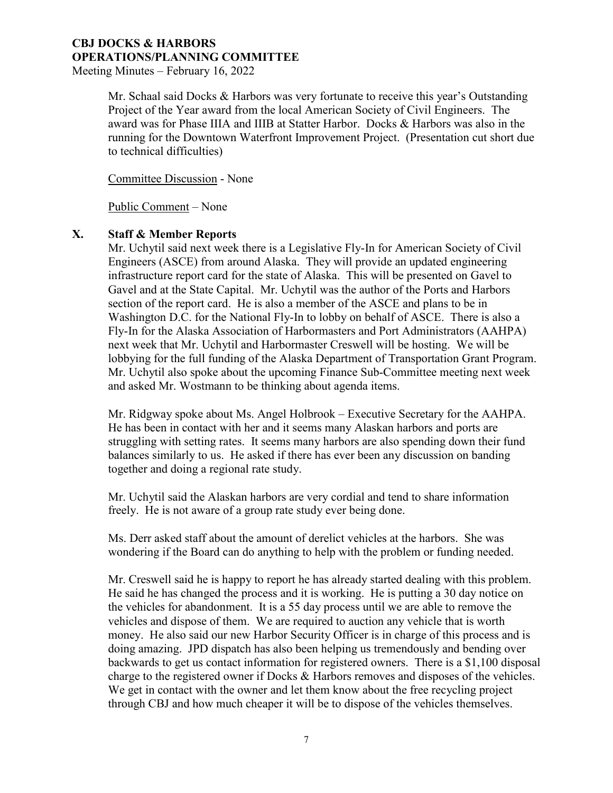Meeting Minutes – February 16, 2022

Mr. Schaal said Docks & Harbors was very fortunate to receive this year's Outstanding Project of the Year award from the local American Society of Civil Engineers. The award was for Phase IIIA and IIIB at Statter Harbor. Docks & Harbors was also in the running for the Downtown Waterfront Improvement Project. (Presentation cut short due to technical difficulties)

Committee Discussion - None

Public Comment – None

### **X. Staff & Member Reports**

Mr. Uchytil said next week there is a Legislative Fly-In for American Society of Civil Engineers (ASCE) from around Alaska. They will provide an updated engineering infrastructure report card for the state of Alaska. This will be presented on Gavel to Gavel and at the State Capital. Mr. Uchytil was the author of the Ports and Harbors section of the report card. He is also a member of the ASCE and plans to be in Washington D.C. for the National Fly-In to lobby on behalf of ASCE. There is also a Fly-In for the Alaska Association of Harbormasters and Port Administrators (AAHPA) next week that Mr. Uchytil and Harbormaster Creswell will be hosting. We will be lobbying for the full funding of the Alaska Department of Transportation Grant Program. Mr. Uchytil also spoke about the upcoming Finance Sub-Committee meeting next week and asked Mr. Wostmann to be thinking about agenda items.

Mr. Ridgway spoke about Ms. Angel Holbrook – Executive Secretary for the AAHPA. He has been in contact with her and it seems many Alaskan harbors and ports are struggling with setting rates. It seems many harbors are also spending down their fund balances similarly to us. He asked if there has ever been any discussion on banding together and doing a regional rate study.

Mr. Uchytil said the Alaskan harbors are very cordial and tend to share information freely. He is not aware of a group rate study ever being done.

Ms. Derr asked staff about the amount of derelict vehicles at the harbors. She was wondering if the Board can do anything to help with the problem or funding needed.

Mr. Creswell said he is happy to report he has already started dealing with this problem. He said he has changed the process and it is working. He is putting a 30 day notice on the vehicles for abandonment. It is a 55 day process until we are able to remove the vehicles and dispose of them. We are required to auction any vehicle that is worth money. He also said our new Harbor Security Officer is in charge of this process and is doing amazing. JPD dispatch has also been helping us tremendously and bending over backwards to get us contact information for registered owners. There is a \$1,100 disposal charge to the registered owner if Docks & Harbors removes and disposes of the vehicles. We get in contact with the owner and let them know about the free recycling project through CBJ and how much cheaper it will be to dispose of the vehicles themselves.